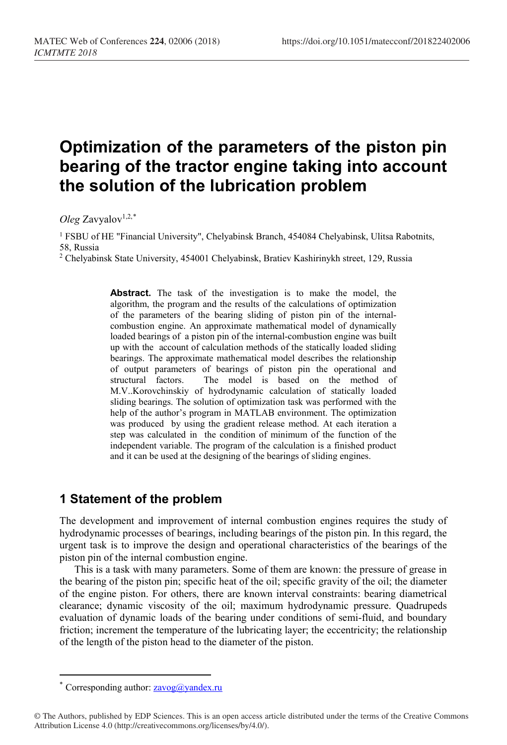# **Optimization of the parameters of the piston pin bearing of the tractor engine taking into account the solution of the lubrication problem**

*Oleg* Zavyalov<sup>1,2,\*</sup>

<sup>1</sup> [FSBU of HE "Financial University",](http://www.fa.ru/en/Pages/Home.aspx) Chelyabinsk Branch, 454084 Chelyabinsk, Ulitsa Rabotnits, 58, Russia

<sup>2</sup> Chelyabinsk State University, 454001 Chelyabinsk, Bratiev Kashirinykh street, 129, Russia

**Abstract.** The task of the investigation is to make the model, the algorithm, the program and the results of the calculations of optimization of the parameters of the bearing sliding of piston pin of the internalcombustion engine. An approximate mathematical model of dynamically loaded bearings of a piston pin of the internal-combustion engine was built up with the account of calculation methods of the statically loaded sliding bearings. The approximate mathematical model describes the relationship of output parameters of bearings of piston pin the operational and structural factors. The model is based on the method of M.V..Korovchinskiy of hydrodynamic calculation of statically loaded sliding bearings. The solution of optimization task was performed with the help of the author's program in MATLAB environment. The optimization was produced by using the gradient release method. At each iteration a step was calculated in the condition of minimum of the function of the independent variable. The program of the calculation is a finished product and it can be used at the designing of the bearings of sliding engines.

## **1 Statement of the problem**

The development and improvement of internal combustion engines requires the study of hydrodynamic processes of bearings, including bearings of the piston pin. In this regard, the urgent task is to improve the design and operational characteristics of the bearings of the piston pin of the internal combustion engine.

This is a task with many parameters. Some of them are known: the pressure of grease in the bearing of the piston pin; specific heat of the oil; specific gravity of the oil; the diameter of the engine piston. For others, there are known interval constraints: bearing diametrical clearance; dynamic viscosity of the oil; maximum hydrodynamic pressure. Quadrupeds evaluation of dynamic loads of the bearing under conditions of semi-fluid, and boundary friction; increment the temperature of the lubricating layer; the eccentricity; the relationship of the length of the piston head to the diameter of the piston.

 $\overline{a}$ 

Corresponding author:  $zavog@yandex.ru$ 

<span id="page-0-0"></span><sup>©</sup> The Authors, published by EDP Sciences. This is an open access article distributed under the terms of the Creative Commons Attribution License 4.0 (http://creativecommons.org/licenses/by/4.0/).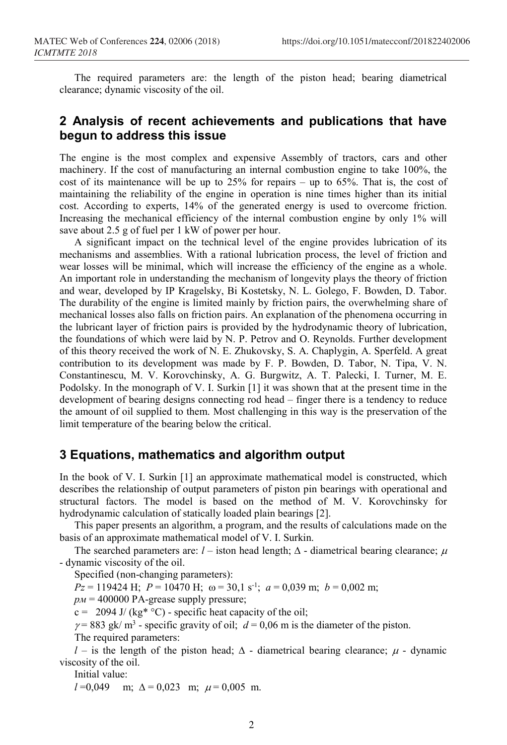The required parameters are: the length of the piston head; bearing diametrical clearance; dynamic viscosity of the oil.

### **2 Analysis of recent achievements and publications that have begun to address this issue**

The engine is the most complex and expensive Assembly of tractors, cars and other machinery. If the cost of manufacturing an internal combustion engine to take 100%, the cost of its maintenance will be up to  $25%$  for repairs – up to  $65%$ . That is, the cost of maintaining the reliability of the engine in operation is nine times higher than its initial cost. According to experts, 14% of the generated energy is used to overcome friction. Increasing the mechanical efficiency of the internal combustion engine by only 1% will save about 2.5 g of fuel per 1 kW of power per hour.

A significant impact on the technical level of the engine provides lubrication of its mechanisms and assemblies. With a rational lubrication process, the level of friction and wear losses will be minimal, which will increase the efficiency of the engine as a whole. An important role in understanding the mechanism of longevity plays the theory of friction and wear, developed by IP Kragelsky, Bi Kostetsky, N. L. Golego, F. Bowden, D. Tabor. The durability of the engine is limited mainly by friction pairs, the overwhelming share of mechanical losses also falls on friction pairs. An explanation of the phenomena occurring in the lubricant layer of friction pairs is provided by the hydrodynamic theory of lubrication, the foundations of which were laid by N. P. Petrov and O. Reynolds. Further development of this theory received the work of N. E. Zhukovsky, S. A. Chaplygin, A. Sperfeld. A great contribution to its development was made by F. P. Bowden, D. Tabor, N. Tipa, V. N. Constantinescu, M. V. Korovchinsky, A. G. Burgwitz, A. T. Palecki, I. Turner, M. E. Podolsky. In the monograph of V. I. Surkin [1] it was shown that at the present time in the development of bearing designs connecting rod head – finger there is a tendency to reduce the amount of oil supplied to them. Most challenging in this way is the preservation of the limit temperature of the bearing below the critical.

#### **3 Equations, mathematics and algorithm output**

In the book of V. I. Surkin [1] an approximate mathematical model is constructed, which describes the relationship of output parameters of piston pin bearings with operational and structural factors. The model is based on the method of M. V. Korovchinsky for hydrodynamic calculation of statically loaded plain bearings [2].

This paper presents an algorithm, a program, and the results of calculations made on the basis of an approximate mathematical model of V. I. Surkin.

The searched parameters are:  $l$  – iston head length;  $\Delta$  - diametrical bearing clearance;  $\mu$ - dynamic viscosity of the oil.

Specified (non-changing parameters):

 $Pz = 119424$  H;  $P = 10470$  H;  $\omega = 30.1$  s<sup>-1</sup>;  $a = 0.039$  m;  $b = 0.002$  m;

 $p<sub>M</sub>$  = 400000 PA-grease supply pressure;

 $c = 2094$  J/ (kg<sup>\*</sup> °C) - specific heat capacity of the oil;

 $\gamma$  = 883 gk/ m<sup>3</sup> - specific gravity of oil;  $d = 0.06$  m is the diameter of the piston.

The required parameters:

 $l -$  is the length of the piston head;  $\Delta$  - diametrical bearing clearance;  $\mu$  - dynamic viscosity of the oil.

Initial value:

 $l = 0.049$  m;  $\Delta = 0.023$  m;  $\mu = 0.005$  m.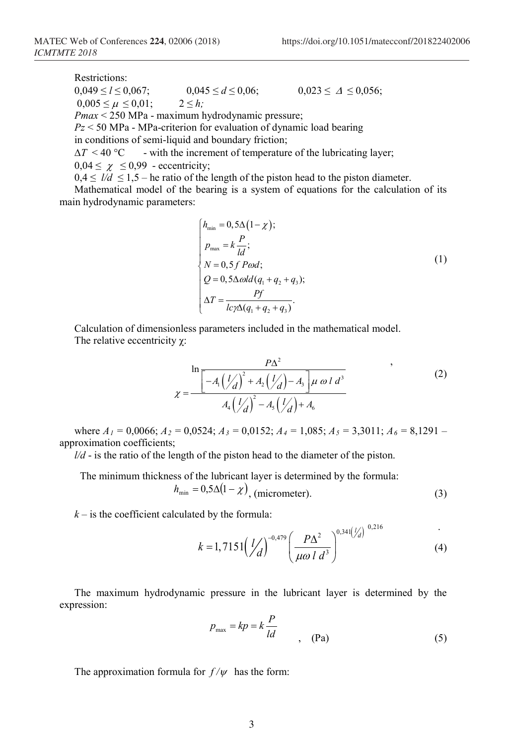Restrictions:  $0,049 \le l \le 0,067;$   $0,045 \le d \le 0,06;$   $0,023 \le \Delta \le 0,056;$  $0,005 \leq \mu \leq 0,01;$   $2 \leq h$ ; *Pmax* < 250 MPa - maximum hydrodynamic pressure; *Pz* < 50 МPа - MPa-criterion for evaluation of dynamic load bearing in conditions of semi-liquid and boundary friction;  $\Delta T \leq 40$  °C - with the increment of temperature of the lubricating layer;  $0.04 \leq \gamma \leq 0.99$  - eccentricity:  $0.4 \leq l/d \leq 1.5$  – he ratio of the length of the piston head to the piston diameter.

Mathematical model of the bearing is a system of equations for the calculation of its main hydrodynamic parameters:

$$
\begin{cases}\nh_{\min} = 0, 5\Delta(1-\chi); \\
p_{\max} = k \frac{P}{ld}; \\
N = 0, 5f P \omega d; \\
Q = 0, 5\Delta \omega l d (q_1 + q_2 + q_3); \\
\Delta T = \frac{Pf}{l c \gamma \Delta (q_1 + q_2 + q_3)}.\n\end{cases}
$$
\n(1)

Calculation of dimensionless parameters included in the mathematical model. The relative eccentricity χ:

$$
\ln \frac{P\Delta^2}{\left[-A_1\left(\frac{1}{d}\right)^2 + A_2\left(\frac{1}{d}\right) - A_3\right] \mu \omega l \, d^3}
$$
\n
$$
\chi = \frac{A_4\left(\frac{1}{d}\right)^2 - A_5\left(\frac{1}{d}\right) + A_6} \tag{2}
$$

where  $A_1 = 0.0066$ ;  $A_2 = 0.0524$ ;  $A_3 = 0.0152$ ;  $A_4 = 1.085$ ;  $A_5 = 3.3011$ ;  $A_6 = 8.1291$ approximation coefficients;

*l/d* - is the ratio of the length of the piston head to the diameter of the piston.

The minimum thickness of the lubricant layer is determined by the formula:

$$
h_{\min} = 0.5\Delta(1 - \chi) \text{ (micrometer)}.
$$
 (3)

 $k -$  is the coefficient calculated by the formula:

$$
k = 1,7151 \left(\frac{l}{d}\right)^{-0.479} \left(\frac{P\Delta^2}{\mu \omega l \ d^3}\right)^{0.341 \left(\frac{l}{d}\right)^{-0.216}}\tag{4}
$$

The maximum hydrodynamic pressure in the lubricant layer is determined by the expression:

$$
p_{\max} = kp = k \frac{P}{ld} \tag{5}
$$

The approximation formula for  $f/\psi$  has the form: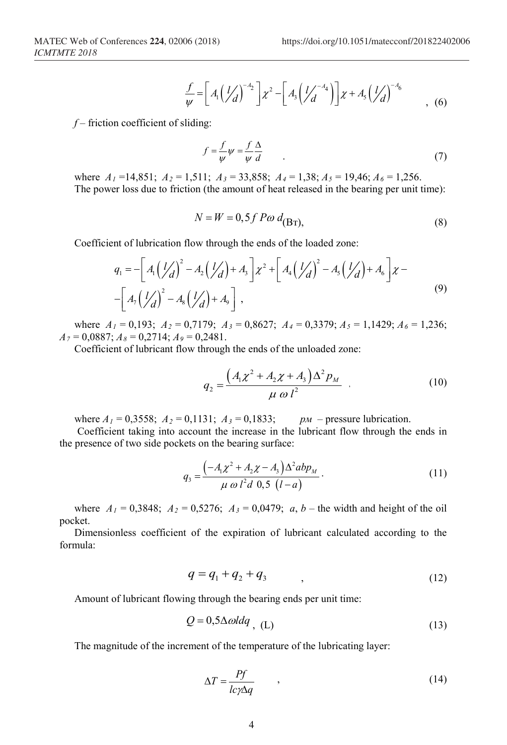$$
\frac{f}{\psi} = \left[ A_1 \left( \frac{1}{d} \right)^{-A_2} \right] \chi^2 - \left[ A_3 \left( \frac{1}{d} \right)^{-A_4} \right] \chi + A_5 \left( \frac{1}{d} \right)^{-A_6} \tag{6}
$$

*f* – friction coefficient of sliding:

$$
f = \frac{f}{\psi} \psi = \frac{f \Delta}{\psi d} \tag{7}
$$

where *А<sup>1</sup>* =14,851; *А<sup>2</sup>* = 1,511; *А<sup>3</sup>* = 33,858; *А<sup>4</sup>* = 1,38; *А<sup>5</sup>* = 19,46; *А<sup>6</sup>* = 1,256. The power loss due to friction (the amount of heat released in the bearing per unit time):

$$
N = W = 0, 5f P\omega d_{\text{(Br)}},\tag{8}
$$

Coefficient of lubrication flow through the ends of the loaded zone:

$$
q_{1} = -\left[A_{1}\left(\frac{1}{d}\right)^{2} - A_{2}\left(\frac{1}{d}\right) + A_{3}\right] \chi^{2} + \left[A_{4}\left(\frac{1}{d}\right)^{2} - A_{5}\left(\frac{1}{d}\right) + A_{6}\right] \chi - \left[A_{7}\left(\frac{1}{d}\right)^{2} - A_{8}\left(\frac{1}{d}\right) + A_{9}\right],
$$
\n(9)

where *A1* = 0,193; *A2* = 0,7179; *A3* = 0,8627; *A4* = 0,3379; *А<sup>5</sup>* = 1,1429; *А<sup>6</sup>* = 1,236;  $A_7 = 0,0887$ ;  $A_8 = 0,2714$ ;  $A_9 = 0,2481$ .

Coefficient of lubricant flow through the ends of the unloaded zone:

$$
q_2 = \frac{\left(A_1 \chi^2 + A_2 \chi + A_3\right) \Delta^2 p_M}{\mu \omega l^2} \tag{10}
$$

where  $A_1 = 0.3558$ ;  $A_2 = 0.1131$ ;  $A_3 = 0.1833$ ;  $p_M$  – pressure lubrication.

Coefficient taking into account the increase in the lubricant flow through the ends in the presence of two side pockets on the bearing surface:

$$
q_3 = \frac{\left(-A_1 \chi^2 + A_2 \chi - A_3\right) \Delta^2 ab p_M}{\mu \omega l^2 d \ 0, 5 \ \left(l - a\right)}.
$$
\n(11)

where  $A_1 = 0,3848$ ;  $A_2 = 0,5276$ ;  $A_3 = 0,0479$ ;  $a, b$  – the width and height of the oil pocket.

Dimensionless coefficient of the expiration of lubricant calculated according to the formula:

$$
q = q_1 + q_2 + q_3 \tag{12}
$$

Amount of lubricant flowing through the bearing ends per unit time:

$$
Q = 0.5 \Delta \omega l dq_{\text{, (L)}} \tag{13}
$$

The magnitude of the increment of the temperature of the lubricating layer:

$$
\Delta T = \frac{Pf}{lc\gamma\Delta q} \tag{14}
$$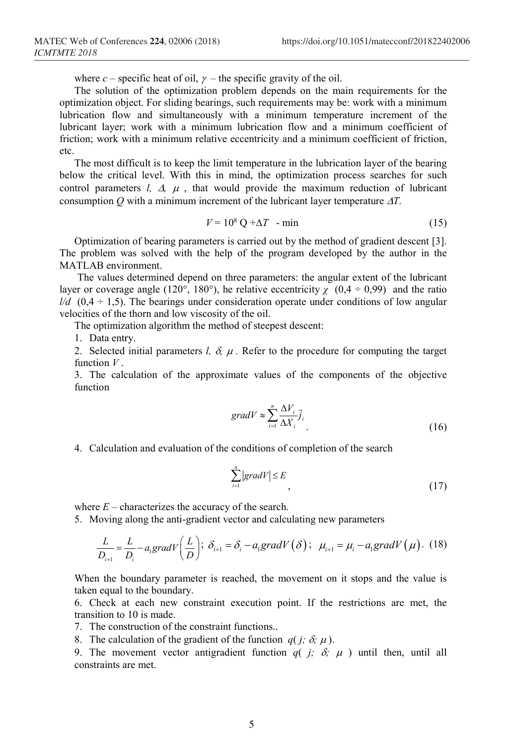where  $c$  – specific heat of oil,  $\gamma$  – the specific gravity of the oil.

The solution of the optimization problem depends on the main requirements for the optimization object. For sliding bearings, such requirements may be: work with a minimum lubrication flow and simultaneously with a minimum temperature increment of the lubricant layer; work with a minimum lubrication flow and a minimum coefficient of friction; work with a minimum relative eccentricity and a minimum coefficient of friction, etc.

The most difficult is to keep the limit temperature in the lubrication layer of the bearing below the critical level. With this in mind, the optimization process searches for such control parameters *l,* ∆*,* <sup>µ</sup> , that would provide the maximum reduction of lubricant consumption *Q* with a minimum increment of the lubricant layer temperature ∆*T*.

$$
V = 10^8 \text{ Q} + \Delta T \quad \text{- min} \tag{15}
$$

Optimization of bearing parameters is carried out by the method of gradient descent [3]. The problem was solved with the help of the program developed by the author in the MATLAB environment.

The values determined depend on three parameters: the angular extent of the lubricant layer or coverage angle (120°, 180°), he relative eccentricity  $\chi$  (0,4 ÷ 0,99) and the ratio  $1/d$  (0,4  $\div$  1,5). The bearings under consideration operate under conditions of low angular velocities of the thorn and low viscosity of the oil.

The optimization algorithm the method of steepest descent:

1. Data entry.

2. Selected initial parameters *l,*  $\delta$ *,*  $\mu$ . Refer to the procedure for computing the target function *V* .

3. The calculation of the approximate values of the components of the objective function

$$
gradV \approx \sum_{i=1}^{n} \frac{\Delta V_i}{\Delta X_i} \vec{j}_i
$$
 (16)

4. Calculation and evaluation of the conditions of completion of the search

$$
\sum_{i=1}^{n} |grad V| \le E \tag{17}
$$

where  $E$  – characterizes the accuracy of the search.

5. Moving along the anti-gradient vector and calculating new parameters

$$
\frac{L}{D_{i+1}} = \frac{L}{D_i} - a_1 gradV\left(\frac{L}{D}\right); \delta_{i+1} = \delta_i - a_1 gradV\left(\delta\right); \mu_{i+1} = \mu_i - a_1 gradV\left(\mu\right). \tag{18}
$$

When the boundary parameter is reached, the movement on it stops and the value is taken equal to the boundary.

6. Check at each new constraint execution point. If the restrictions are met, the transition to 10 is made.

7. The construction of the constraint functions..

8. The calculation of the gradient of the function  $q(j; \delta; \mu)$ .

9. The movement vector antigradient function  $q(j; \delta; \mu)$  until then, until all constraints are met.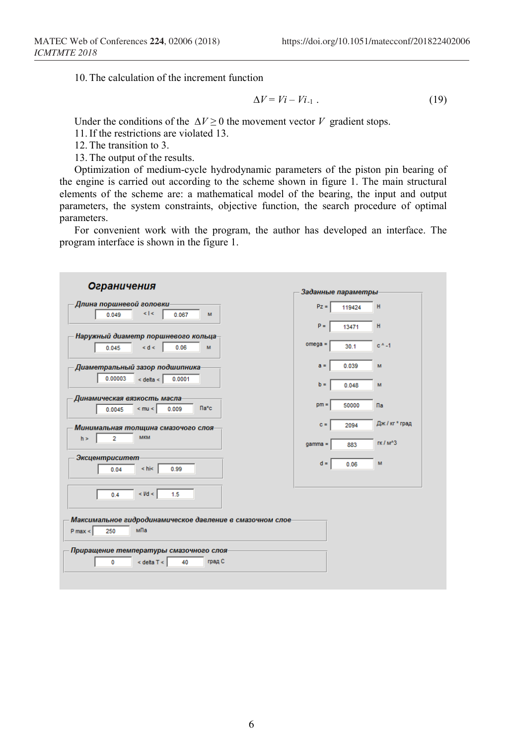10. The calculation of the increment function

$$
\Delta V = Vi - Vi_{-1} \tag{19}
$$

Under the conditions of the  $\Delta V \ge 0$  the movement vector *V* gradient stops.

11.If the restrictions are violated 13.

12. The transition to 3.

13. The output of the results.

Optimization of medium-cycle hydrodynamic parameters of the piston pin bearing of the engine is carried out according to the scheme shown in figure 1. The main structural elements of the scheme are: a mathematical model of the bearing, the input and output parameters, the system constraints, objective function, the search procedure of optimal parameters.

For convenient work with the program, the author has developed an interface. The program interface is shown in the figure 1.

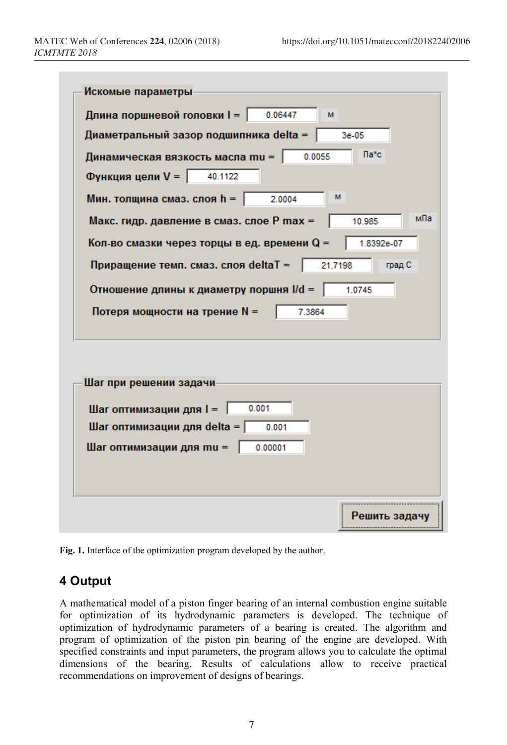| Искомые параметры                                                                                                                          |
|--------------------------------------------------------------------------------------------------------------------------------------------|
| Длина поршневой головки I =  <br>0.06447<br>м                                                                                              |
| Диаметральный зазор подшипника delta =  <br>$3e-05$                                                                                        |
| $\Pi$ a $*$ c<br>Динамическая вязкость масла mu =  <br>0.0055                                                                              |
| Функция цели V =<br>40.1122                                                                                                                |
| Мин. толщина смаз. слоя h =  <br>2.0004<br>м                                                                                               |
| мПа<br>Макс. гидр. давление в смаз. слое P max =<br>10.985                                                                                 |
| Кол-во смазки через торцы в ед. времени Q =<br>1.8392e-07                                                                                  |
| Приращение темп. смаз. слоя delta $T =$   21.7198<br>град С                                                                                |
| Отношение длины к диаметру поршня I/d =   1.0745                                                                                           |
| Потеря мощности на трение N =<br>7.3864                                                                                                    |
|                                                                                                                                            |
| Шаг при решении задачи-<br>Шаг оптимизации для I =<br>0.001<br>Шаг оптимизации для delta =<br>0.001<br>Шаг оптимизации для mu =<br>0.00001 |
| Решить задачу                                                                                                                              |

**Fig. 1.** Interface of the optimization program developed by the author.

# **4 Оutput**

A mathematical model of a piston finger bearing of an internal combustion engine suitable for optimization of its hydrodynamic parameters is developed. The technique of optimization of hydrodynamic parameters of a bearing is created. The algorithm and program of optimization of the piston pin bearing of the engine are developed. With specified constraints and input parameters, the program allows you to calculate the optimal dimensions of the bearing. Results of calculations allow to receive practical recommendations on improvement of designs of bearings.